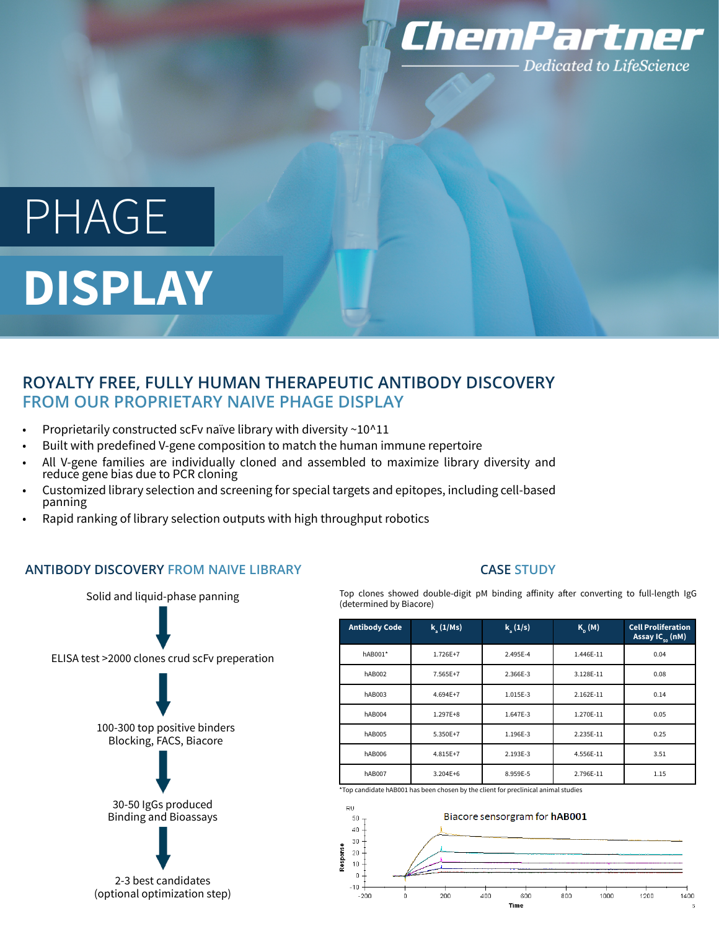

# PHAGE **DISPLAY**

# **ROYALTY FREE, FULLY HUMAN THERAPEUTIC ANTIBODY DISCOVERY FROM OUR PROPRIETARY NAIVE PHAGE DISPLAY**

- Proprietarily constructed scFv naïve library with diversity  $\sim$ 10^11
- Built with predefined V-gene composition to match the human immune repertoire
- All V-gene families are individually cloned and assembled to maximize library diversity and reduce gene bias due to PCR cloning
- Customized library selection and screening for special targets and epitopes, including cell-based panning
- Rapid ranking of library selection outputs with high throughput robotics

### **ANTIBODY DISCOVERY FROM NAIVE LIBRARY**



# **CASE STUDY**

Top clones showed double-digit pM binding affinity after converting to full-length IgG (determined by Biacore)

| <b>Antibody Code</b> | $k_{y}$ (1/Ms) | $k_a(1/s)$ | $K_n(M)$  | <b>Cell Proliferation</b><br>Assay $IC_{50}$ (nM) |
|----------------------|----------------|------------|-----------|---------------------------------------------------|
| hAB001*              | 1.726E+7       | 2.495E-4   | 1.446E-11 | 0.04                                              |
| <b>hAB002</b>        | 7.565E+7       | 2.366E-3   | 3.128E-11 | 0.08                                              |
| hAB003               | 4.694E+7       | 1.015E-3   | 2.162E-11 | 0.14                                              |
| hAB004               | 1.297E+8       | 1.647E-3   | 1.270E-11 | 0.05                                              |
| <b>hAB005</b>        | 5.350E+7       | 1.196E-3   | 2.235E-11 | 0.25                                              |
| <b>hAB006</b>        | 4.815E+7       | 2.193E-3   | 4.556E-11 | 3.51                                              |
| <b>hAB007</b>        | 3.204E+6       | 8.959E-5   | 2.796E-11 | 1.15                                              |

\*Top candidate hAB001 has been chosen by the client for preclinical animal studies